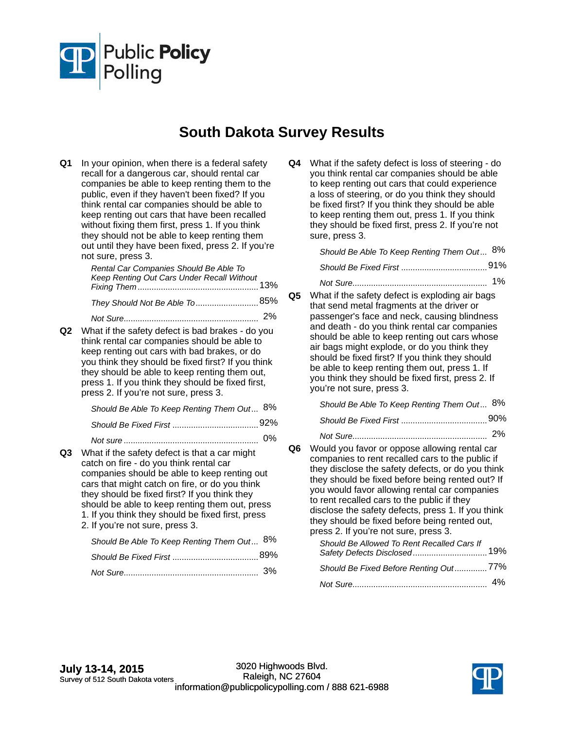

## **South Dakota Survey Results**

| Q1 | In your opinion, when there is a federal safety<br>recall for a dangerous car, should rental car<br>companies be able to keep renting them to the<br>public, even if they haven't been fixed? If you<br>think rental car companies should be able to<br>keep renting out cars that have been recalled<br>without fixing them first, press 1. If you think<br>they should not be able to keep renting them                           | Q4             | What if the safety defect is loss of steering - do<br>you think rental car companies should be able<br>to keep renting out cars that could experience<br>a loss of steering, or do you think they should<br>be fixed first? If you think they should be able<br>to keep renting them out, press 1. If you think<br>they should be fixed first, press 2. If you're not<br>sure, press 3.                                                                                                                  |  |
|----|-------------------------------------------------------------------------------------------------------------------------------------------------------------------------------------------------------------------------------------------------------------------------------------------------------------------------------------------------------------------------------------------------------------------------------------|----------------|----------------------------------------------------------------------------------------------------------------------------------------------------------------------------------------------------------------------------------------------------------------------------------------------------------------------------------------------------------------------------------------------------------------------------------------------------------------------------------------------------------|--|
|    | out until they have been fixed, press 2. If you're<br>not sure, press 3.                                                                                                                                                                                                                                                                                                                                                            |                | Should Be Able To Keep Renting Them Out 8%                                                                                                                                                                                                                                                                                                                                                                                                                                                               |  |
|    | Rental Car Companies Should Be Able To                                                                                                                                                                                                                                                                                                                                                                                              |                |                                                                                                                                                                                                                                                                                                                                                                                                                                                                                                          |  |
|    |                                                                                                                                                                                                                                                                                                                                                                                                                                     |                |                                                                                                                                                                                                                                                                                                                                                                                                                                                                                                          |  |
|    | They Should Not Be Able To 85%                                                                                                                                                                                                                                                                                                                                                                                                      | Q <sub>5</sub> | What if the safety defect is exploding air bags<br>that send metal fragments at the driver or                                                                                                                                                                                                                                                                                                                                                                                                            |  |
|    |                                                                                                                                                                                                                                                                                                                                                                                                                                     |                | passenger's face and neck, causing blindness                                                                                                                                                                                                                                                                                                                                                                                                                                                             |  |
| Q2 | What if the safety defect is bad brakes - do you<br>think rental car companies should be able to<br>keep renting out cars with bad brakes, or do<br>you think they should be fixed first? If you think<br>they should be able to keep renting them out,<br>press 1. If you think they should be fixed first,<br>press 2. If you're not sure, press 3.                                                                               |                | and death - do you think rental car companies<br>should be able to keep renting out cars whose<br>air bags might explode, or do you think they<br>should be fixed first? If you think they should<br>be able to keep renting them out, press 1. If<br>you think they should be fixed first, press 2. If<br>you're not sure, press 3.                                                                                                                                                                     |  |
|    | Should Be Able To Keep Renting Them Out 8%                                                                                                                                                                                                                                                                                                                                                                                          |                | Should Be Able To Keep Renting Them Out 8%                                                                                                                                                                                                                                                                                                                                                                                                                                                               |  |
|    |                                                                                                                                                                                                                                                                                                                                                                                                                                     |                |                                                                                                                                                                                                                                                                                                                                                                                                                                                                                                          |  |
|    |                                                                                                                                                                                                                                                                                                                                                                                                                                     |                |                                                                                                                                                                                                                                                                                                                                                                                                                                                                                                          |  |
| Q3 | What if the safety defect is that a car might<br>catch on fire - do you think rental car<br>companies should be able to keep renting out<br>cars that might catch on fire, or do you think<br>they should be fixed first? If you think they<br>should be able to keep renting them out, press<br>1. If you think they should be fixed first, press<br>2. If you're not sure, press 3.<br>Should Be Able To Keep Renting Them Out 8% | Q <sub>6</sub> | Would you favor or oppose allowing rental car<br>companies to rent recalled cars to the public if<br>they disclose the safety defects, or do you think<br>they should be fixed before being rented out? If<br>you would favor allowing rental car companies<br>to rent recalled cars to the public if they<br>disclose the safety defects, press 1. If you think<br>they should be fixed before being rented out,<br>press 2. If you're not sure, press 3.<br>Should Be Allowed To Rent Recalled Cars If |  |
|    |                                                                                                                                                                                                                                                                                                                                                                                                                                     |                | Should Be Fixed Before Renting Out77%                                                                                                                                                                                                                                                                                                                                                                                                                                                                    |  |
|    |                                                                                                                                                                                                                                                                                                                                                                                                                                     |                |                                                                                                                                                                                                                                                                                                                                                                                                                                                                                                          |  |
|    |                                                                                                                                                                                                                                                                                                                                                                                                                                     |                |                                                                                                                                                                                                                                                                                                                                                                                                                                                                                                          |  |



loss of steering - do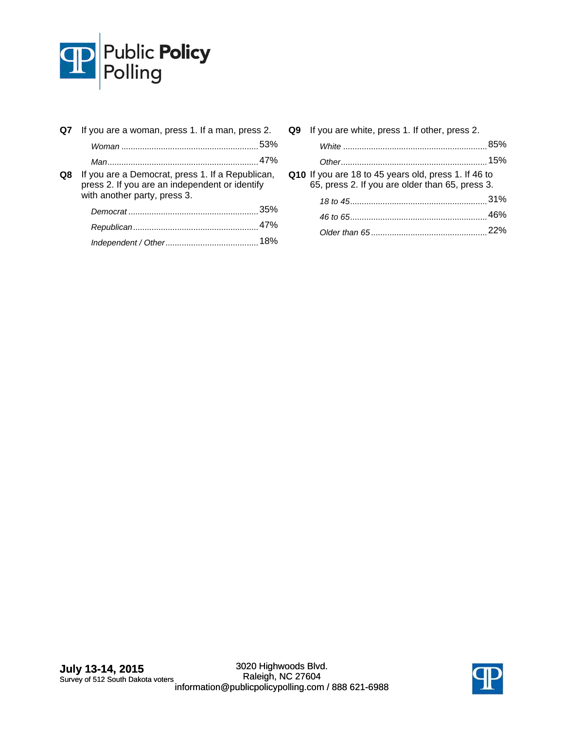

|    | If you are a woman, press 1. If a man, press 2.                                                                                    |  |  |  |  |
|----|------------------------------------------------------------------------------------------------------------------------------------|--|--|--|--|
|    |                                                                                                                                    |  |  |  |  |
|    |                                                                                                                                    |  |  |  |  |
| Q8 | If you are a Democrat, press 1. If a Republican,<br>press 2. If you are an independent or identify<br>with another party, press 3. |  |  |  |  |
|    |                                                                                                                                    |  |  |  |  |
|    |                                                                                                                                    |  |  |  |  |
|    |                                                                                                                                    |  |  |  |  |

**Q9** If you are white, press 1. If other, press 2.

| Q10 If you are 18 to 45 years old, press 1. If 46 to<br>65, press 2. If you are older than 65, press 3. |  |
|---------------------------------------------------------------------------------------------------------|--|
|                                                                                                         |  |
|                                                                                                         |  |
|                                                                                                         |  |

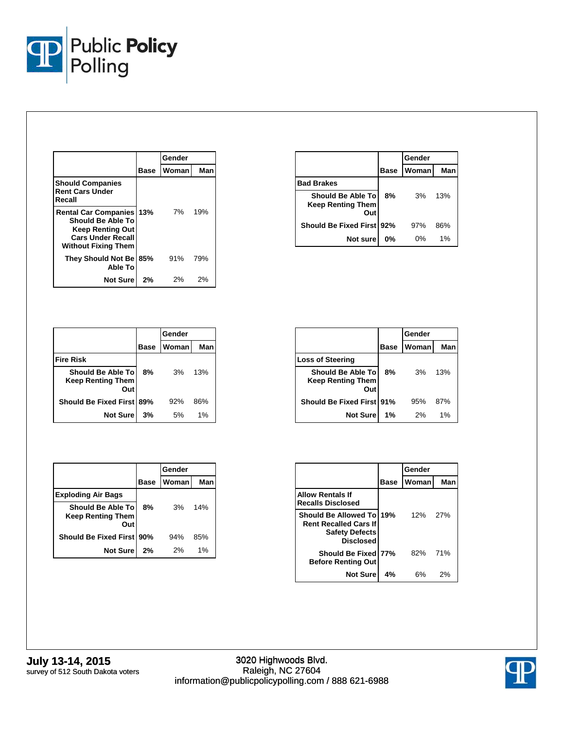

|                                                                                                                                              |      | Gender |     |
|----------------------------------------------------------------------------------------------------------------------------------------------|------|--------|-----|
|                                                                                                                                              | Base | Woman  | Man |
| <b>Should Companies</b><br><b>Rent Cars Under</b><br>Recall                                                                                  |      |        |     |
| <b>Rental Car Companies</b><br><b>Should Be Able To</b><br><b>Keep Renting Out</b><br><b>Cars Under Recall</b><br><b>Without Fixing Them</b> | 13%  | 7%     | 19% |
| <b>They Should Not Be</b><br>Able To                                                                                                         | 85%  | 91%    | 79% |
| <b>Not Sure</b>                                                                                                                              | 2%   | 2%     | 2%  |

|                                                       |             | Gender |     |
|-------------------------------------------------------|-------------|--------|-----|
|                                                       | <b>Base</b> | Woman  | Man |
| <b>Bad Brakes</b>                                     |             |        |     |
| Should Be Able Tol<br><b>Keep Renting Them</b><br>Out | 8%          | 3%     | 13% |
| <b>Should Be Fixed First 92%</b>                      |             | 97%    | 86% |
| Not sure                                              | 0%          | 0%     | 1%  |

|                                                             |      | Gender |     |
|-------------------------------------------------------------|------|--------|-----|
|                                                             | Base | Woman  | Man |
| l Fire Risk                                                 |      |        |     |
| <b>Should Be Able To</b><br><b>Keep Renting Them</b><br>Out | 8%   | 3%     | 13% |
| <b>Should Be Fixed First 89%</b>                            |      | 92%    | 86% |
| <b>Not Sure</b>                                             | 3%   | 5%     | 1%  |

|                                                             |             | Gender |     |
|-------------------------------------------------------------|-------------|--------|-----|
|                                                             | <b>Base</b> | Woman  | Man |
| <b>Loss of Steering</b>                                     |             |        |     |
| <b>Should Be Able To</b><br><b>Keep Renting Them</b><br>Out | 8%          | 3%     | 13% |
| <b>Should Be Fixed First 91%</b>                            |             | 95%    | 87% |
| <b>Not Sure</b>                                             | 1%          | 2%     | 1%  |

|                                                             |             | Gender |     |
|-------------------------------------------------------------|-------------|--------|-----|
|                                                             | <b>Base</b> | Woman  | Man |
| <b>Exploding Air Bags</b>                                   |             |        |     |
| <b>Should Be Able To</b><br><b>Keep Renting Them</b><br>Out | 8%          | 3%     | 14% |
| <b>Should Be Fixed First 90%</b>                            |             | 94%    | 85% |
| <b>Not Sure</b>                                             | 2%          | 2%     | 1%  |

|                                                                                                       |      | Gender |     |
|-------------------------------------------------------------------------------------------------------|------|--------|-----|
|                                                                                                       | Base | Woman  | Man |
| <b>Allow Rentals If</b><br><b>Recalls Disclosed</b>                                                   |      |        |     |
| Should Be Allowed To 19%<br><b>Rent Recalled Cars If</b><br><b>Safety Defects</b><br><b>Disclosed</b> |      | 12%    | 27% |
| Should Be Fixed 77%<br><b>Before Renting Out</b>                                                      |      | 82%    | 71% |
| <b>Not Sure</b>                                                                                       | 4%   | 6%     | 2%  |

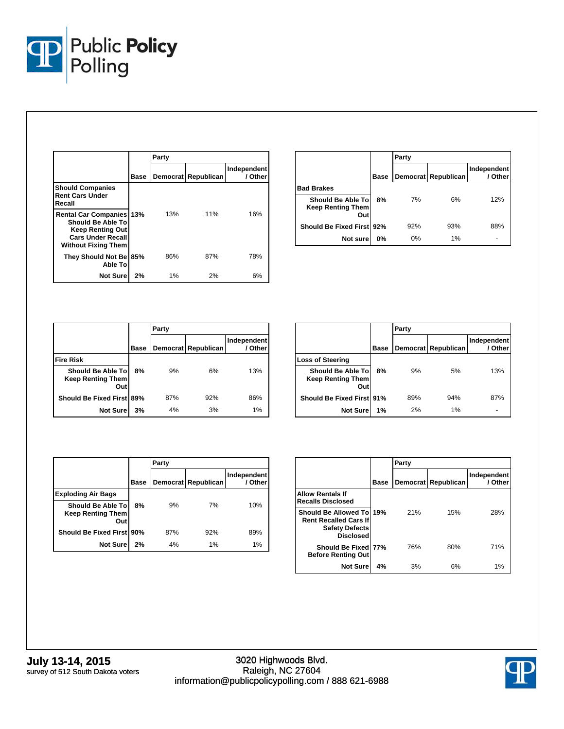

|                                                                                                                                           |      | Party |                     |                        |
|-------------------------------------------------------------------------------------------------------------------------------------------|------|-------|---------------------|------------------------|
|                                                                                                                                           | Base |       | Democrat Republican | Independent<br>/ Other |
| <b>Should Companies</b><br><b>Rent Cars Under</b><br>Recall                                                                               |      |       |                     |                        |
| <b>Rental Car Companies 13%</b><br>Should Be Able To<br><b>Keep Renting Out</b><br><b>Cars Under Recall</b><br><b>Without Fixing Them</b> |      | 13%   | 11%                 | 16%                    |
| They Should Not Be 85%<br>Able To                                                                                                         |      | 86%   | 87%                 | 78%                    |
| <b>Not Sure</b>                                                                                                                           | 2%   | $1\%$ | 2%                  | 6%                     |

|                                                      |      | Party    |            |                        |
|------------------------------------------------------|------|----------|------------|------------------------|
|                                                      | Base | Democrat | Republican | Independent<br>/ Other |
| <b>Bad Brakes</b>                                    |      |          |            |                        |
| Should Be Able To<br><b>Keep Renting Them</b><br>Out | 8%   | 7%       | 6%         | 12%                    |
| <b>Should Be Fixed First 92%</b>                     |      | 92%      | 93%        | 88%                    |
| Not sure                                             | 0%   | 0%       | 1%         |                        |

|                                                      |      | Party |                     |                        |
|------------------------------------------------------|------|-------|---------------------|------------------------|
|                                                      | Base |       | Democrat Republican | Independent<br>/ Other |
| <b>Fire Risk</b>                                     |      |       |                     |                        |
| Should Be Able To<br><b>Keep Renting Them</b><br>Out | 8%   | 9%    | 6%                  | 13%                    |
| <b>Should Be Fixed First 89%</b>                     |      | 87%   | 92%                 | 86%                    |
| <b>Not Sure</b>                                      | 3%   | 4%    | 3%                  | 1%                     |

|                                                      |             | Party |                       |                        |  |  |
|------------------------------------------------------|-------------|-------|-----------------------|------------------------|--|--|
|                                                      | <b>Base</b> |       | Democrat   Republican | Independent<br>/ Other |  |  |
| <b>Loss of Steering</b>                              |             |       |                       |                        |  |  |
| Should Be Able To<br><b>Keep Renting Them</b><br>Out | 8%          | 9%    | 5%                    | 13%                    |  |  |
| <b>Should Be Fixed First 91%</b>                     |             | 89%   | 94%                   | 87%                    |  |  |
| <b>Not Sure</b>                                      | 1%          | 2%    | 1%                    |                        |  |  |

|                                                      |             | Party |                     |                        |  |  |
|------------------------------------------------------|-------------|-------|---------------------|------------------------|--|--|
|                                                      | <b>Base</b> |       | Democrat Republican | Independent<br>/ Other |  |  |
| <b>Exploding Air Bags</b>                            |             |       |                     |                        |  |  |
| Should Be Able To<br><b>Keep Renting Them</b><br>Out | 8%          | 9%    | 7%                  | 10%                    |  |  |
| <b>Should Be Fixed First 90%</b>                     |             | 87%   | 92%                 | 89%                    |  |  |
| <b>Not Sure</b>                                      | 2%          | 4%    | 1%                  | 1%                     |  |  |

|                                                                                                              |      | Party |                     |                        |
|--------------------------------------------------------------------------------------------------------------|------|-------|---------------------|------------------------|
|                                                                                                              | Base |       | Democrat Republican | Independent<br>/ Other |
| <b>Allow Rentals If</b><br><b>Recalls Disclosed</b>                                                          |      |       |                     |                        |
| <b>Should Be Allowed To 19%</b><br><b>Rent Recalled Cars If</b><br><b>Safety Defects</b><br><b>Disclosed</b> |      | 21%   | 15%                 | 28%                    |
| Should Be Fixed 77%<br><b>Before Renting Out</b>                                                             |      | 76%   | 80%                 | 71%                    |
| <b>Not Sure</b>                                                                                              | 4%   | 3%    | 6%                  | 1%                     |

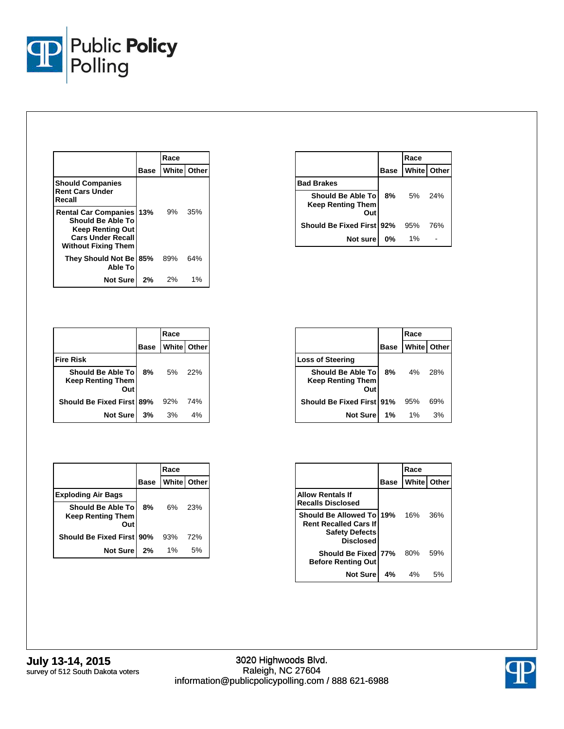

|                                                                                                                                                  |             | Race               |       |
|--------------------------------------------------------------------------------------------------------------------------------------------------|-------------|--------------------|-------|
|                                                                                                                                                  | <b>Base</b> | <b>White</b> Other |       |
| <b>Should Companies</b><br><b>Rent Cars Under</b><br>Recall                                                                                      |             |                    |       |
| <b>Rental Car Companies 13%</b><br><b>Should Be Able To</b><br><b>Keep Renting Out</b><br><b>Cars Under Recall</b><br><b>Without Fixing Them</b> |             | 9%                 | 35%   |
| They Should Not Be 85%<br>Able To                                                                                                                |             | 89%                | 64%   |
| <b>Not Sure</b>                                                                                                                                  | 2%          | 2%                 | $1\%$ |

|                                                      |             | Race               |     |
|------------------------------------------------------|-------------|--------------------|-----|
|                                                      | <b>Base</b> | <b>White Other</b> |     |
| <b>Fire Risk</b>                                     |             |                    |     |
| Should Be Able To<br><b>Keep Renting Them</b><br>Out | 8%          | 5%                 | 22% |
| <b>Should Be Fixed First 89%</b>                     |             | 92%                | 74% |
| <b>Not Sure</b>                                      | 3%          | 3%                 | 4%  |

|                                                       |             | Race  |             |
|-------------------------------------------------------|-------------|-------|-------------|
|                                                       | <b>Base</b> |       | White Other |
| <b>Exploding Air Bags</b>                             |             |       |             |
| Should Be Able Tol<br><b>Keep Renting Them</b><br>Out | 8%          | 6%    | 23%         |
| <b>Should Be Fixed First 90%</b>                      |             | 93%   | 72%         |
| <b>Not Sure</b>                                       | 2%          | $1\%$ | 5%          |

|                                                              |             | Race        |     |
|--------------------------------------------------------------|-------------|-------------|-----|
|                                                              | <b>Base</b> | White Other |     |
| <b>Bad Brakes</b>                                            |             |             |     |
| <b>Should Be Able Tol</b><br><b>Keep Renting Them</b><br>Out | 8%          | .5%         | 24% |
| <b>Should Be Fixed First 92%</b>                             |             | 95%         | 76% |
| Not sure                                                     | $0\%$       | $1\%$       |     |

|                                                             |      | Race               |     |
|-------------------------------------------------------------|------|--------------------|-----|
|                                                             | Base | <b>White Other</b> |     |
| <b>Loss of Steering</b>                                     |      |                    |     |
| <b>Should Be Able To</b><br><b>Keep Renting Them</b><br>Out | 8%   | 4%                 | 28% |
| <b>Should Be Fixed First 91%</b>                            |      | 95%                | 69% |
| <b>Not Sure</b>                                             | 1%   | 1%                 | 3%  |

|                                                                                                           |      | Race                 |     |
|-----------------------------------------------------------------------------------------------------------|------|----------------------|-----|
|                                                                                                           | Base | <b>White   Other</b> |     |
| <b>Allow Rentals If</b><br><b>Recalls Disclosed</b>                                                       |      |                      |     |
| Should Be Allowed To 19% 16%<br><b>Rent Recalled Cars If</b><br><b>Safety Defects</b><br><b>Disclosed</b> |      |                      | 36% |
| Should Be Fixed 77%<br><b>Before Renting Out</b>                                                          |      | 80%                  | 59% |
| <b>Not Sure</b>                                                                                           | 4%   | 4%                   | 5%  |